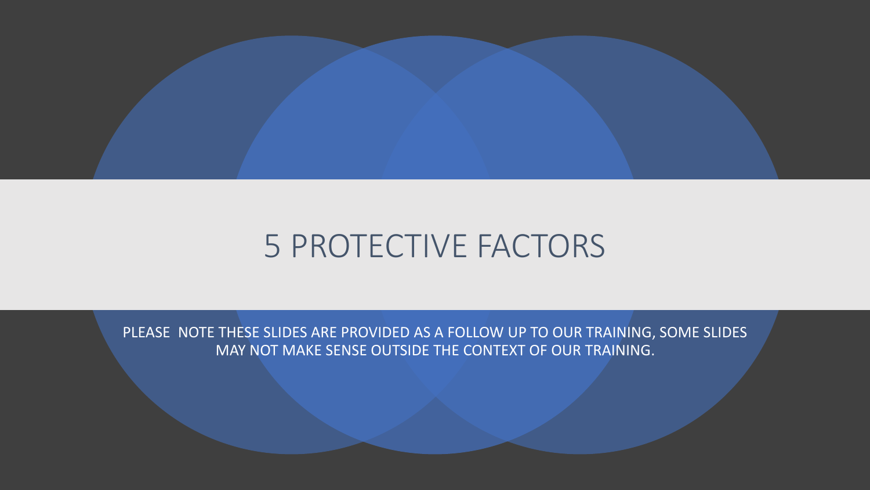

### 5 PROTECTIVE FACTORS

PLEASE NOTE THESE SLIDES ARE PROVIDED AS A FOLLOW UP TO OUR TRAINING, SOME SLIDES MAY NOT MAKE SENSE OUTSIDE THE CONTEXT OF OUR TRAINING.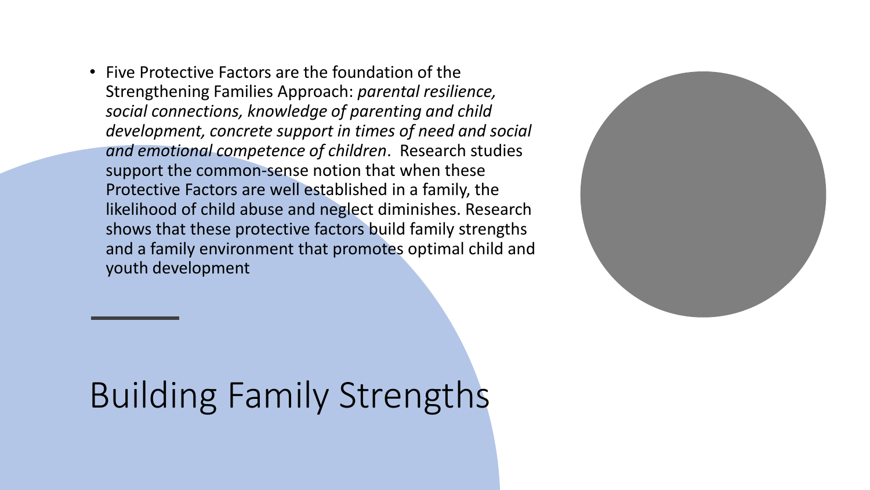• Five Protective Factors are the foundation of the Strengthening Families Approach: *parental resilience, social connections, knowledge of parenting and child development, concrete support in times of need and social and emotional competence of children*. Research studies support the common-sense notion that when these Protective Factors are well established in a family, the likelihood of child abuse and neglect diminishes. Research shows that these protective factors build family strengths and a family environment that promotes optimal child and youth development



# Building Family Strengths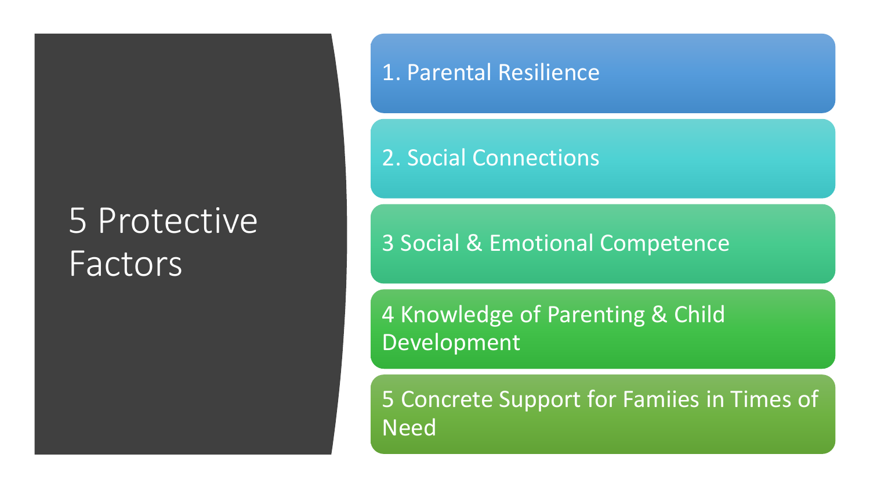# 5 Protective **Factors**

#### 1. Parental Resilience

#### 2. Social Connections

3 Social & Emotional Competence

4 Knowledge of Parenting & Child Development

5 Concrete Support for Famiies in Times of Need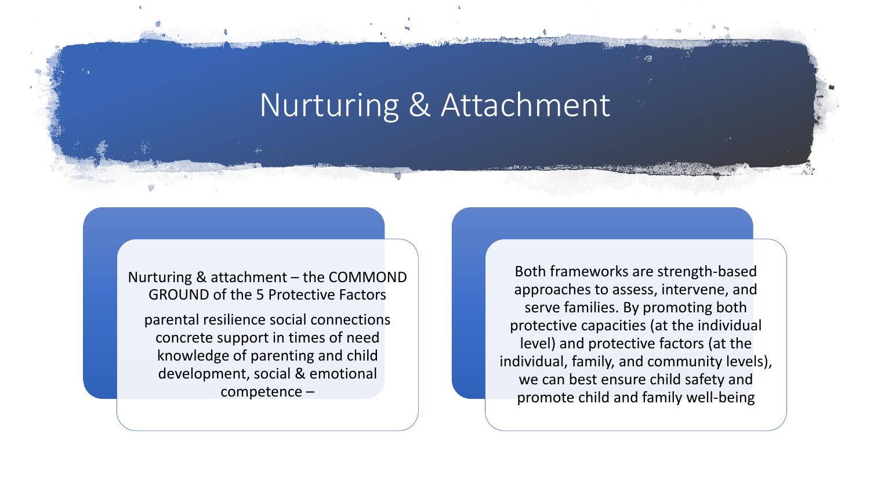### Nurturing & Attachment

Nurturing & attachment – the COMMOND GROUND of the 5 Protective Factors

parental resilience social connections concrete support in times of need knowledge of parenting and child development, social & emotional competence –

Both frameworks are strength-based approaches to assess, intervene, and serve families. By promoting both protective capacities (at the individual level) and protective factors (at the individual, family, and community levels), we can best ensure child safety and promote child and family well-being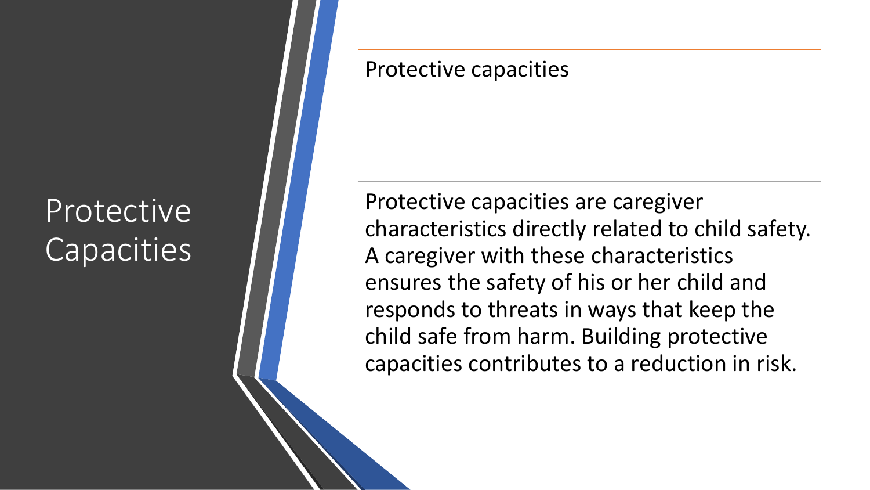## Protective **Capacities**

#### Protective capacities

Protective capacities are caregiver characteristics directly related to child safety. A caregiver with these characteristics ensures the safety of his or her child and responds to threats in ways that keep the child safe from harm. Building protective capacities contributes to a reduction in risk.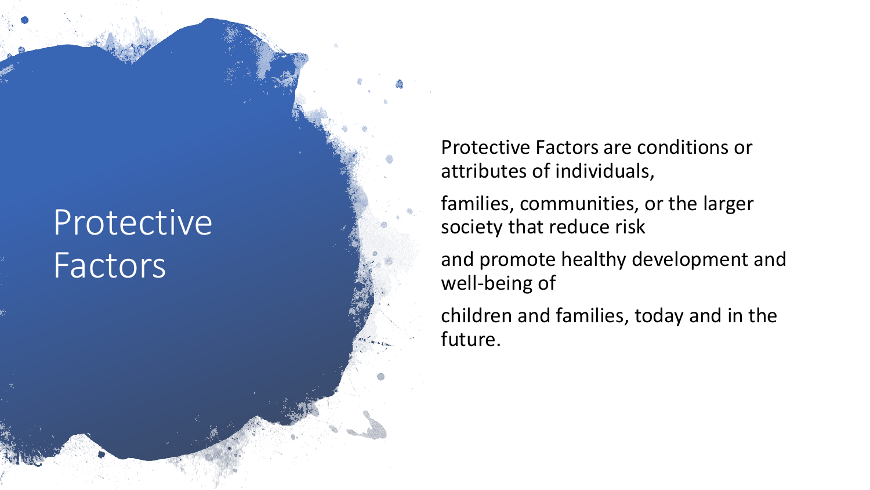# Protective Factors

Protective Factors are conditions or attributes of individuals,

families, communities, or the larger society that reduce risk

and promote healthy development and well -being of

children and families, today and in the future.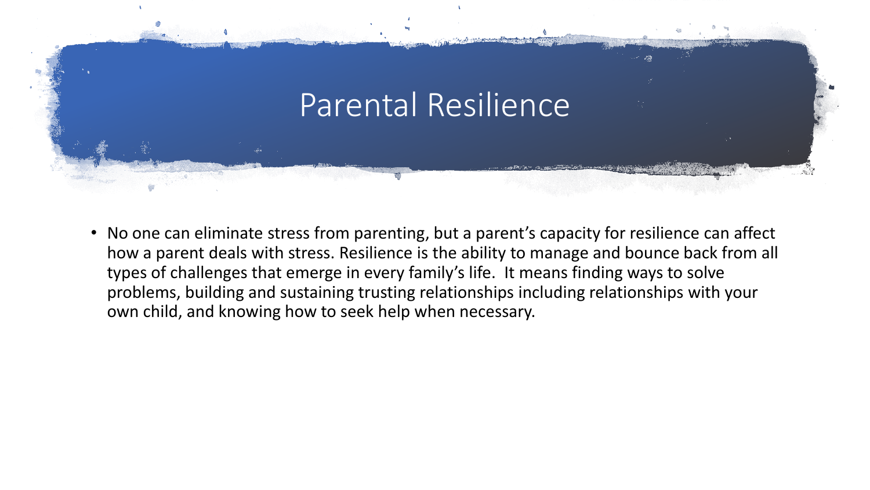

• No one can eliminate stress from parenting, but a parent's capacity for resilience can affect how a parent deals with stress. Resilience is the ability to manage and bounce back from all types of challenges that emerge in every family's life. It means finding ways to solve problems, building and sustaining trusting relationships including relationships with your own child, and knowing how to seek help when necessary.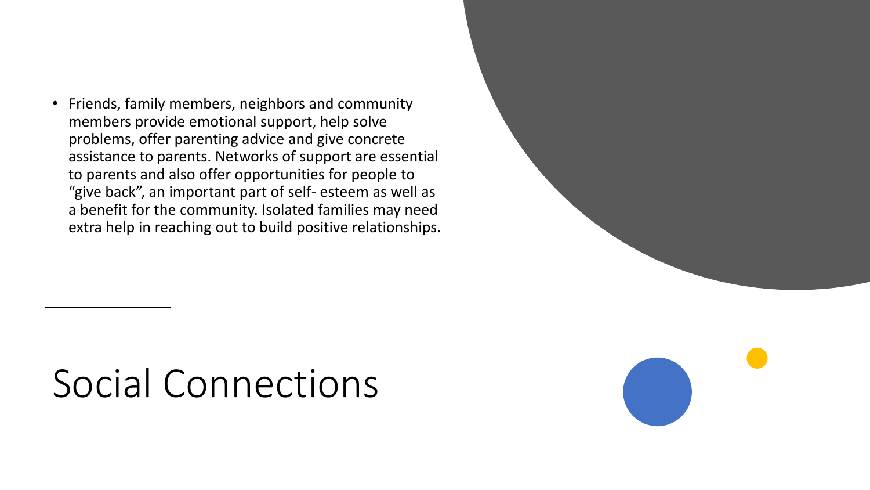• Friends, family members, neighbors and community members provide emotional support, help solve problems, offer parenting advice and give concrete assistance to parents. Networks of support are essential to parents and also offer opportunities for people to "give back", an important part of self- esteem as well as a benefit for the community. Isolated families may need extra help in reaching out to build positive relationships.

# Social Connections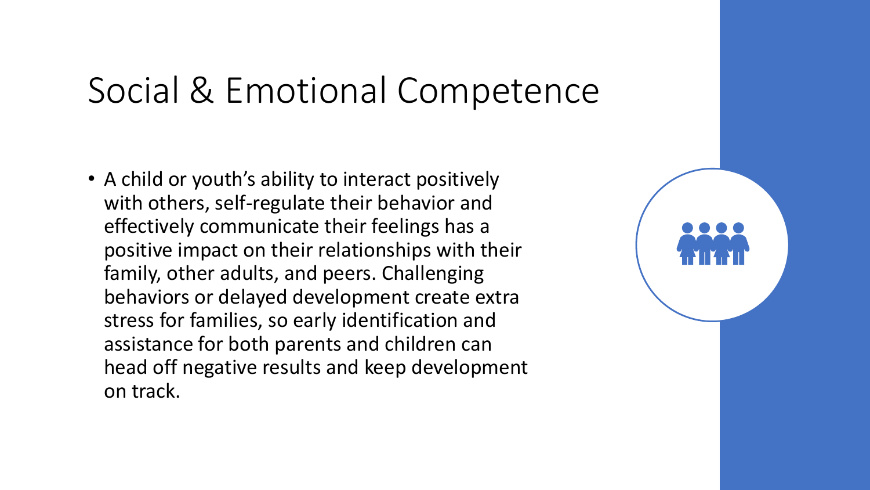## Social & Emotional Competence

• A child or youth's ability to interact positively with others, self-regulate their behavior and effectively communicate their feelings has a positive impact on their relationships with their family, other adults, and peers. Challenging behaviors or delayed development create extra stress for families, so early identification and assistance for both parents and children can head off negative results and keep development on track.

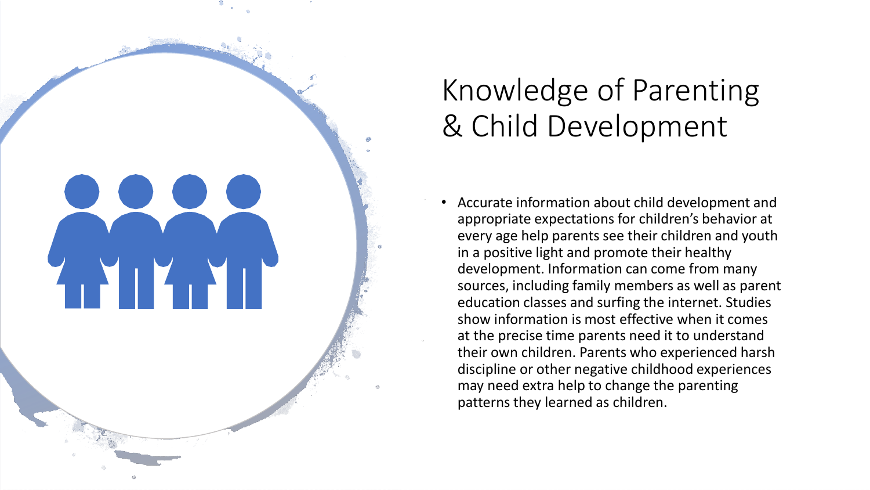

### Knowledge of Parenting & Child Development

• Accurate information about child development and appropriate expectations for children's behavior at every age help parents see their children and youth in a positive light and promote their healthy development. Information can come from many sources, including family members as well as parent education classes and surfing the internet. Studies show information is most effective when it comes at the precise time parents need it to understand their own children. Parents who experienced harsh discipline or other negative childhood experiences may need extra help to change the parenting patterns they learned as children.